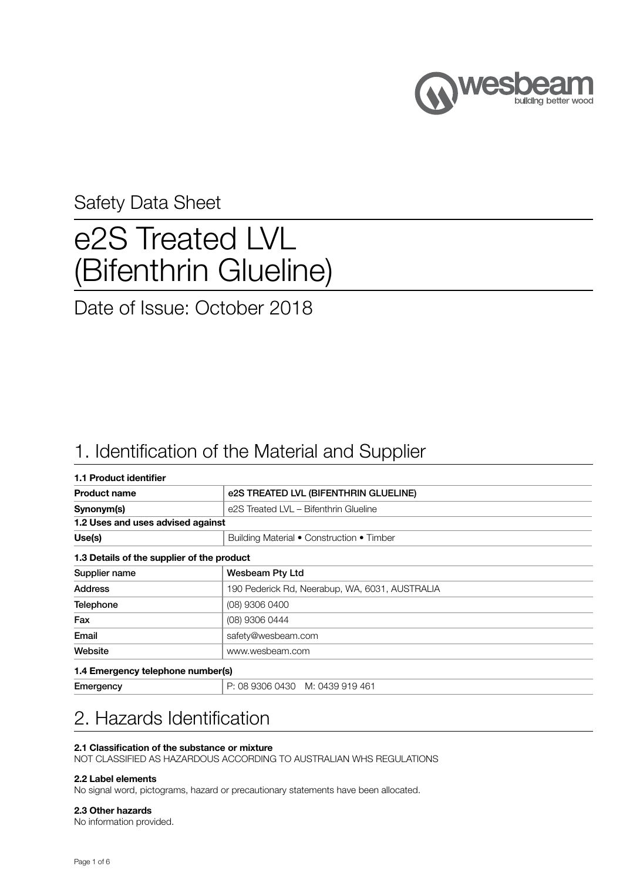

### Safety Data Sheet

# e2S Treated LVL (Bifenthrin Glueline)

### Date of Issue: October 2018

### 1. Identification of the Material and Supplier

| 1.1 Product identifier                     |                                                |  |  |  |
|--------------------------------------------|------------------------------------------------|--|--|--|
| <b>Product name</b>                        | e2S TREATED LVL (BIFENTHRIN GLUELINE)          |  |  |  |
| Synonym(s)                                 | e2S Treated LVL - Bifenthrin Glueline          |  |  |  |
| 1.2 Uses and uses advised against          |                                                |  |  |  |
| Use(s)                                     | Building Material • Construction • Timber      |  |  |  |
| 1.3 Details of the supplier of the product |                                                |  |  |  |
| Supplier name                              | <b>Wesbeam Pty Ltd</b>                         |  |  |  |
| <b>Address</b>                             | 190 Pederick Rd, Neerabup, WA, 6031, AUSTRALIA |  |  |  |
| <b>Telephone</b>                           | (08) 9306 0400                                 |  |  |  |
| Fax                                        | (08) 9306 0444                                 |  |  |  |
| Email                                      | safety@wesbeam.com                             |  |  |  |
| Website                                    | www.wesbeam.com                                |  |  |  |
| 1.4 Emergency telephone number(s)          |                                                |  |  |  |
| Emergency                                  | P: 08 9306 0430 M: 0439 919 461                |  |  |  |

### 2. Hazards Identification

#### 2.1 Classification of the substance or mixture

NOT CLASSIFIED AS HAZARDOUS ACCORDING TO AUSTRALIAN WHS REGULATIONS

#### 2.2 Label elements

No signal word, pictograms, hazard or precautionary statements have been allocated.

#### 2.3 Other hazards

No information provided.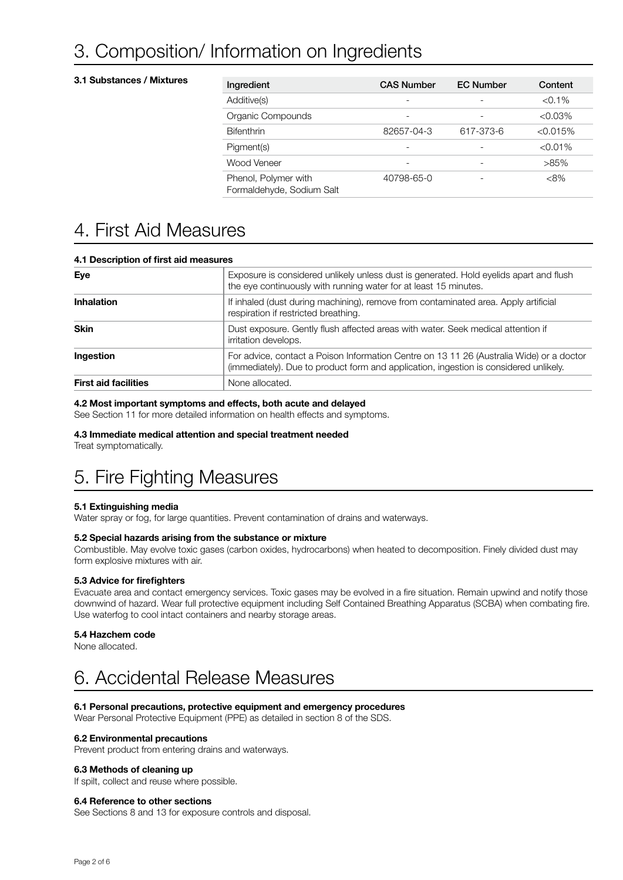### 3. Composition/ Information on Ingredients

#### 3.1 Substances / Mixtures

| Ingredient                                        | <b>CAS Number</b> | <b>EC Number</b> | Content    |
|---------------------------------------------------|-------------------|------------------|------------|
| Additive(s)                                       |                   |                  | $<$ 0.1%   |
| Organic Compounds                                 |                   |                  | $< 0.03\%$ |
| <b>Bifenthrin</b>                                 | 82657-04-3        | 617-373-6        | < 0.015%   |
| Pigment(s)                                        |                   |                  | $< 0.01\%$ |
| Wood Veneer                                       |                   |                  | $>85\%$    |
| Phenol, Polymer with<br>Formaldehyde, Sodium Salt | 40798-65-0        |                  | $<8\%$     |

### 4. First Aid Measures

| Dooonpaon on mot ala moaoaroo                                                                                                                                                                  |                                                                                                                                                            |
|------------------------------------------------------------------------------------------------------------------------------------------------------------------------------------------------|------------------------------------------------------------------------------------------------------------------------------------------------------------|
| Eye                                                                                                                                                                                            | Exposure is considered unlikely unless dust is generated. Hold eyelids apart and flush<br>the eye continuously with running water for at least 15 minutes. |
| <b>Inhalation</b>                                                                                                                                                                              | If inhaled (dust during machining), remove from contaminated area. Apply artificial<br>respiration if restricted breathing.                                |
| <b>Skin</b><br>Dust exposure. Gently flush affected areas with water. Seek medical attention if<br>irritation develops.                                                                        |                                                                                                                                                            |
| For advice, contact a Poison Information Centre on 13 11 26 (Australia Wide) or a doctor<br>Ingestion<br>(immediately). Due to product form and application, ingestion is considered unlikely. |                                                                                                                                                            |
| <b>First aid facilities</b>                                                                                                                                                                    | None allocated.                                                                                                                                            |

#### 4.1 Description of first aid measures

#### 4.2 Most important symptoms and effects, both acute and delayed

See Section 11 for more detailed information on health effects and symptoms.

#### 4.3 Immediate medical attention and special treatment needed

Treat symptomatically.

### 5. Fire Fighting Measures

#### 5.1 Extinguishing media

Water spray or fog, for large quantities. Prevent contamination of drains and waterways.

#### 5.2 Special hazards arising from the substance or mixture

Combustible. May evolve toxic gases (carbon oxides, hydrocarbons) when heated to decomposition. Finely divided dust may form explosive mixtures with air.

#### 5.3 Advice for firefighters

Evacuate area and contact emergency services. Toxic gases may be evolved in a fire situation. Remain upwind and notify those downwind of hazard. Wear full protective equipment including Self Contained Breathing Apparatus (SCBA) when combating fire. Use waterfog to cool intact containers and nearby storage areas.

#### 5.4 Hazchem code

None allocated.

### 6. Accidental Release Measures

#### 6.1 Personal precautions, protective equipment and emergency procedures

Wear Personal Protective Equipment (PPE) as detailed in section 8 of the SDS.

#### 6.2 Environmental precautions

Prevent product from entering drains and waterways.

#### 6.3 Methods of cleaning up

If spilt, collect and reuse where possible.

#### 6.4 Reference to other sections

See Sections 8 and 13 for exposure controls and disposal.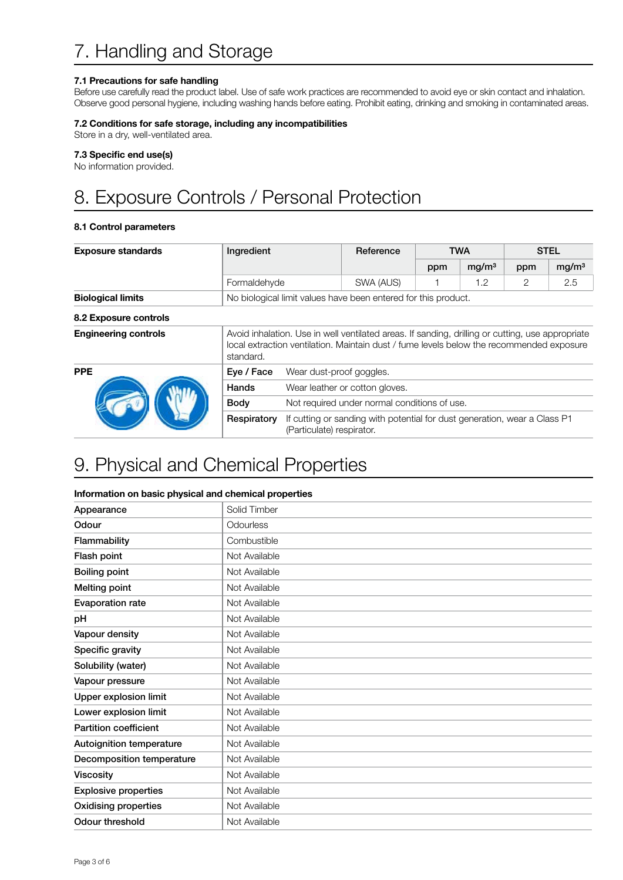#### 7.1 Precautions for safe handling

Before use carefully read the product label. Use of safe work practices are recommended to avoid eye or skin contact and inhalation. Observe good personal hygiene, including washing hands before eating. Prohibit eating, drinking and smoking in contaminated areas.

#### 7.2 Conditions for safe storage, including any incompatibilities

Store in a dry, well-ventilated area.

#### 7.3 Specific end use(s)

No information provided.

## 8. Exposure Controls / Personal Protection

#### 8.1 Control parameters

| <b>Exposure standards</b>   | Ingredient                                                                                                                                                                                                | Reference                                    |                                                                           | <b>TWA</b> |                   | <b>STEL</b> |                   |
|-----------------------------|-----------------------------------------------------------------------------------------------------------------------------------------------------------------------------------------------------------|----------------------------------------------|---------------------------------------------------------------------------|------------|-------------------|-------------|-------------------|
|                             |                                                                                                                                                                                                           |                                              |                                                                           | ppm        | mq/m <sup>3</sup> | ppm         | mg/m <sup>3</sup> |
|                             | Formaldehyde                                                                                                                                                                                              |                                              | SWA (AUS)                                                                 |            | 1.2               | 2           | 2.5               |
| <b>Biological limits</b>    | No biological limit values have been entered for this product.                                                                                                                                            |                                              |                                                                           |            |                   |             |                   |
| 8.2 Exposure controls       |                                                                                                                                                                                                           |                                              |                                                                           |            |                   |             |                   |
| <b>Engineering controls</b> | Avoid inhalation. Use in well ventilated areas. If sanding, drilling or cutting, use appropriate<br>local extraction ventilation. Maintain dust / fume levels below the recommended exposure<br>standard. |                                              |                                                                           |            |                   |             |                   |
| <b>PPE</b>                  | Eye / Face                                                                                                                                                                                                | Wear dust-proof goggles.                     |                                                                           |            |                   |             |                   |
|                             | Hands                                                                                                                                                                                                     | Wear leather or cotton gloves.               |                                                                           |            |                   |             |                   |
|                             | <b>Body</b>                                                                                                                                                                                               | Not required under normal conditions of use. |                                                                           |            |                   |             |                   |
|                             | Respiratory                                                                                                                                                                                               | (Particulate) respirator.                    | If cutting or sanding with potential for dust generation, wear a Class P1 |            |                   |             |                   |

### 9. Physical and Chemical Properties

#### Information on basic physical and chemical properties

| Appearance                   | Solid Timber  |  |  |  |
|------------------------------|---------------|--|--|--|
| Odour                        | Odourless     |  |  |  |
| Flammability                 | Combustible   |  |  |  |
| Flash point                  | Not Available |  |  |  |
| <b>Boiling point</b>         | Not Available |  |  |  |
| Melting point                | Not Available |  |  |  |
| <b>Evaporation rate</b>      | Not Available |  |  |  |
| рH                           | Not Available |  |  |  |
| Vapour density               | Not Available |  |  |  |
| Specific gravity             | Not Available |  |  |  |
| Solubility (water)           | Not Available |  |  |  |
| Vapour pressure              | Not Available |  |  |  |
| <b>Upper explosion limit</b> | Not Available |  |  |  |
| Lower explosion limit        | Not Available |  |  |  |
| <b>Partition coefficient</b> | Not Available |  |  |  |
| Autoignition temperature     | Not Available |  |  |  |
| Decomposition temperature    | Not Available |  |  |  |
| Viscosity                    | Not Available |  |  |  |
| <b>Explosive properties</b>  | Not Available |  |  |  |
| <b>Oxidising properties</b>  | Not Available |  |  |  |
| Odour threshold              | Not Available |  |  |  |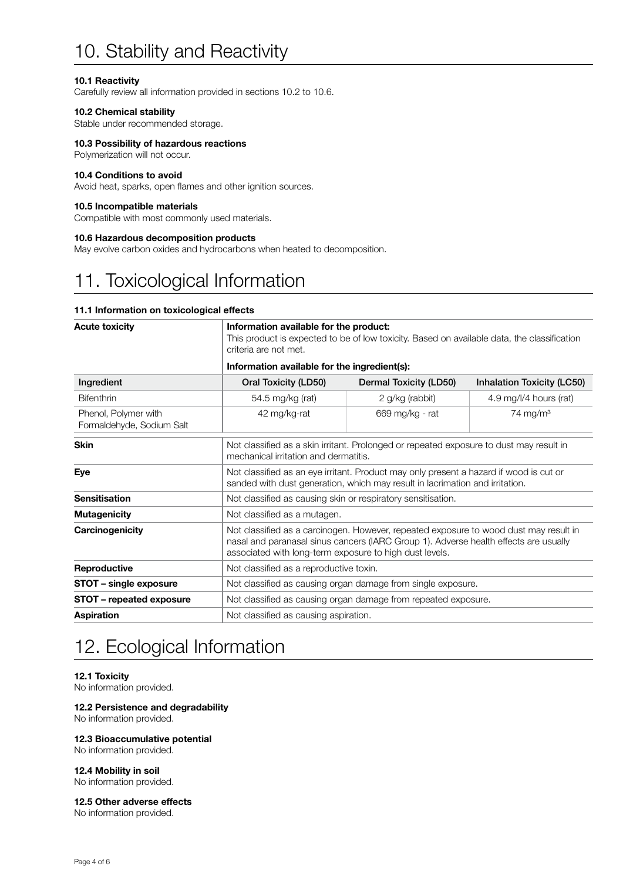### 10. Stability and Reactivity

#### 10.1 Reactivity

Carefully review all information provided in sections 10.2 to 10.6.

#### 10.2 Chemical stability

Stable under recommended storage.

#### 10.3 Possibility of hazardous reactions

Polymerization will not occur.

#### 10.4 Conditions to avoid

Avoid heat, sparks, open flames and other ignition sources.

#### 10.5 Incompatible materials

Compatible with most commonly used materials.

#### 10.6 Hazardous decomposition products

May evolve carbon oxides and hydrocarbons when heated to decomposition.

### 11. Toxicological Information

#### 11.1 Information on toxicological effects

#### Acute toxicity **Information available for the product:** This product is expected to be of low toxicity. Based on available data, the classification criteria are not met. Information available for the ingredient(s): Ingredient Oral Toxicity (LD50) Dermal Toxicity (LD50) Inhalation Toxicity (LC50) Bifenthrin 1990 100 54.5 mg/kg (rat) 3 and 2 g/kg (rabbit) 4.9 mg/l/4 hours (rat) Phenol, Polymer with Formaldehyde, Sodium Salt 42 mg/kg-rat 669 mg/kg - rat 74 mg/m³ Skin Skin Not classified as a skin irritant. Prolonged or repeated exposure to dust may result in mechanical irritation and dermatitis. Eye Not classified as an eye irritant. Product may only present a hazard if wood is cut or sanded with dust generation, which may result in lacrimation and irritation. Sensitisation **Not classified as causing skin or respiratory sensitisation. Mutagenicity** Not classified as a mutagen. **Carcinogenicity** Not classified as a carcinogen. However, repeated exposure to wood dust may result in nasal and paranasal sinus cancers (IARC Group 1). Adverse health effects are usually associated with long-term exposure to high dust levels. **Reproductive** Not classified as a reproductive toxin. **STOT – single exposure** Not classified as causing organ damage from single exposure. **STOT – repeated exposure** Not classified as causing organ damage from repeated exposure. **Aspiration** Not classified as causing aspiration.

### 12. Ecological Information

#### 12.1 Toxicity

No information provided.

#### 12.2 Persistence and degradability

No information provided.

#### 12.3 Bioaccumulative potential

No information provided.

#### 12.4 Mobility in soil

No information provided.

#### 12.5 Other adverse effects

No information provided.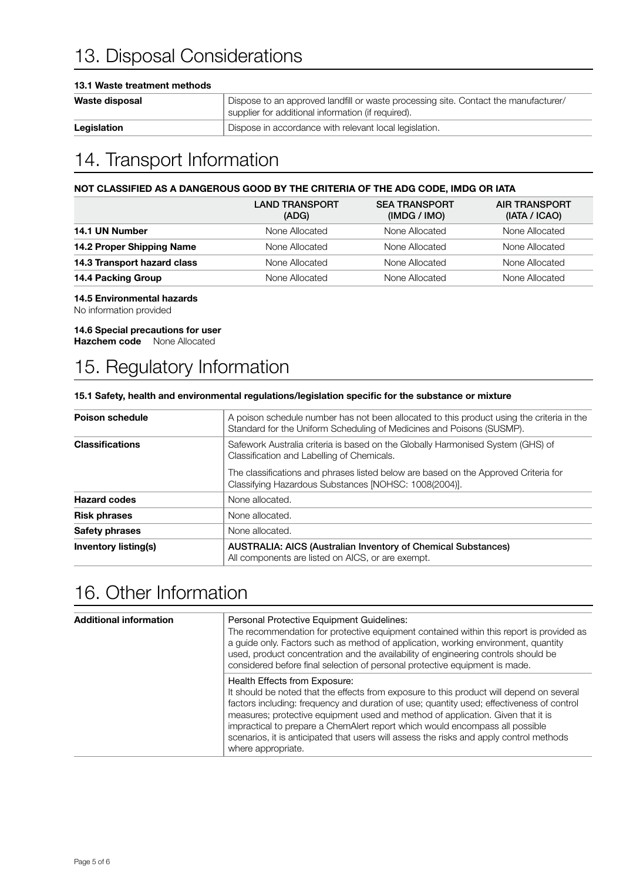### 13. Disposal Considerations

#### 13.1 Waste treatment methods

| Waste disposal | Dispose to an approved landfill or waste processing site. Contact the manufacturer/<br>supplier for additional information (if required). |
|----------------|-------------------------------------------------------------------------------------------------------------------------------------------|
| Legislation    | Dispose in accordance with relevant local legislation.                                                                                    |

### 14. Transport Information

#### NOT CLASSIFIED AS A DANGEROUS GOOD BY THE CRITERIA OF THE ADG CODE, IMDG OR IATA

|                             | <b>LAND TRANSPORT</b><br>(ADG) | <b>SEA TRANSPORT</b><br>(IMDG / IMO) | <b>AIR TRANSPORT</b><br>(IATA / ICAO) |
|-----------------------------|--------------------------------|--------------------------------------|---------------------------------------|
| 14.1 UN Number              | None Allocated                 | None Allocated                       | None Allocated                        |
| 14.2 Proper Shipping Name   | None Allocated                 | None Allocated                       | None Allocated                        |
| 14.3 Transport hazard class | None Allocated                 | None Allocated                       | None Allocated                        |
| 14.4 Packing Group          | None Allocated                 | None Allocated                       | None Allocated                        |
|                             |                                |                                      |                                       |

#### 14.5 Environmental hazards

No information provided

#### 14.6 Special precautions for user

Hazchem code None Allocated

### 15. Regulatory Information

#### 15.1 Safety, health and environmental regulations/legislation specific for the substance or mixture

| <b>Poison schedule</b>      | A poison schedule number has not been allocated to this product using the criteria in the<br>Standard for the Uniform Scheduling of Medicines and Poisons (SUSMP). |  |  |  |
|-----------------------------|--------------------------------------------------------------------------------------------------------------------------------------------------------------------|--|--|--|
| <b>Classifications</b>      | Safework Australia criteria is based on the Globally Harmonised System (GHS) of<br>Classification and Labelling of Chemicals.                                      |  |  |  |
|                             | The classifications and phrases listed below are based on the Approved Criteria for<br>Classifying Hazardous Substances [NOHSC: 1008(2004)].                       |  |  |  |
| <b>Hazard codes</b>         | None allocated.                                                                                                                                                    |  |  |  |
| <b>Risk phrases</b>         | None allocated.                                                                                                                                                    |  |  |  |
| Safety phrases              | None allocated.                                                                                                                                                    |  |  |  |
| <b>Inventory listing(s)</b> | AUSTRALIA: AICS (Australian Inventory of Chemical Substances)<br>All components are listed on AICS, or are exempt.                                                 |  |  |  |

### 16. Other Information

| <b>Additional information</b> | Personal Protective Equipment Guidelines:<br>The recommendation for protective equipment contained within this report is provided as<br>a guide only. Factors such as method of application, working environment, quantity<br>used, product concentration and the availability of engineering controls should be<br>considered before final selection of personal protective equipment is made.                                                                                                            |
|-------------------------------|------------------------------------------------------------------------------------------------------------------------------------------------------------------------------------------------------------------------------------------------------------------------------------------------------------------------------------------------------------------------------------------------------------------------------------------------------------------------------------------------------------|
|                               | Health Effects from Exposure:<br>It should be noted that the effects from exposure to this product will depend on several<br>factors including: frequency and duration of use; quantity used; effectiveness of control<br>measures; protective equipment used and method of application. Given that it is<br>impractical to prepare a ChemAlert report which would encompass all possible<br>scenarios, it is anticipated that users will assess the risks and apply control methods<br>where appropriate. |